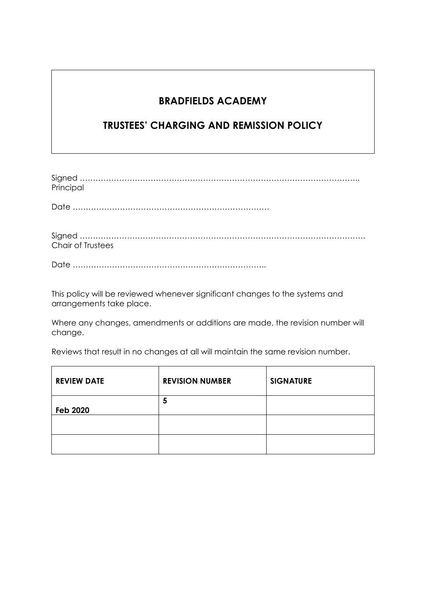# **BRADFIELDS ACADEMY**

# **TRUSTEES' CHARGING AND REMISSION POLICY**

| Principal |
|-----------|
|           |
|           |
|           |
|           |
|           |

Date ………………………………………………………………..

Chair of Trustees

This policy will be reviewed whenever significant changes to the systems and arrangements take place.

Where any changes, amendments or additions are made, the revision number will change.

Reviews that result in no changes at all will maintain the same revision number.

| <b>REVIEW DATE</b> | <b>REVISION NUMBER</b> | <b>SIGNATURE</b> |
|--------------------|------------------------|------------------|
| <b>Feb 2020</b>    | 5                      |                  |
|                    |                        |                  |
|                    |                        |                  |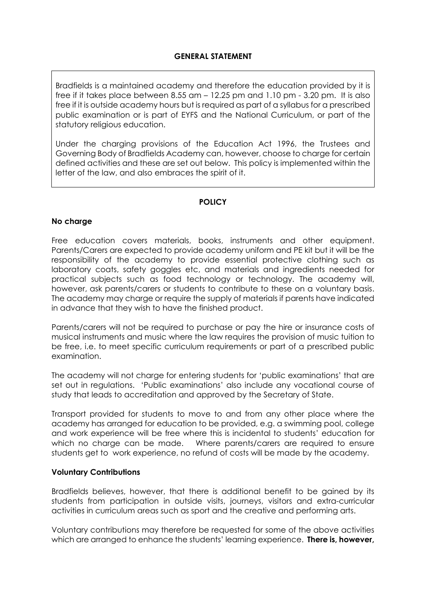Bradfields is a maintained academy and therefore the education provided by it is free if it takes place between 8.55 am – 12.25 pm and 1.10 pm - 3.20 pm. It is also free if it is outside academy hours but is required as part of a syllabus for a prescribed public examination or is part of EYFS and the National Curriculum, or part of the statutory religious education.

Under the charging provisions of the Education Act 1996, the Trustees and Governing Body of Bradfields Academy can, however, choose to charge for certain defined activities and these are set out below. This policy is implemented within the letter of the law, and also embraces the spirit of it.

## **POLICY**

### **No charge**

Free education covers materials, books, instruments and other equipment. Parents/Carers are expected to provide academy uniform and PE kit but it will be the responsibility of the academy to provide essential protective clothing such as laboratory coats, safety goggles etc, and materials and ingredients needed for practical subjects such as food technology or technology. The academy will, however, ask parents/carers or students to contribute to these on a voluntary basis. The academy may charge or require the supply of materials if parents have indicated in advance that they wish to have the finished product.

Parents/carers will not be required to purchase or pay the hire or insurance costs of musical instruments and music where the law requires the provision of music tuition to be free, i.e. to meet specific curriculum requirements or part of a prescribed public examination.

The academy will not charge for entering students for 'public examinations' that are set out in regulations. 'Public examinations' also include any vocational course of study that leads to accreditation and approved by the Secretary of State.

Transport provided for students to move to and from any other place where the academy has arranged for education to be provided, e.g. a swimming pool, college and work experience will be free where this is incidental to students' education for which no charge can be made. Where parents/carers are required to ensure students get to work experience, no refund of costs will be made by the academy.

#### **Voluntary Contributions**

Bradfields believes, however, that there is additional benefit to be gained by its students from participation in outside visits, journeys, visitors and extra-curricular activities in curriculum areas such as sport and the creative and performing arts.

Voluntary contributions may therefore be requested for some of the above activities which are arranged to enhance the students' learning experience. **There is, however,**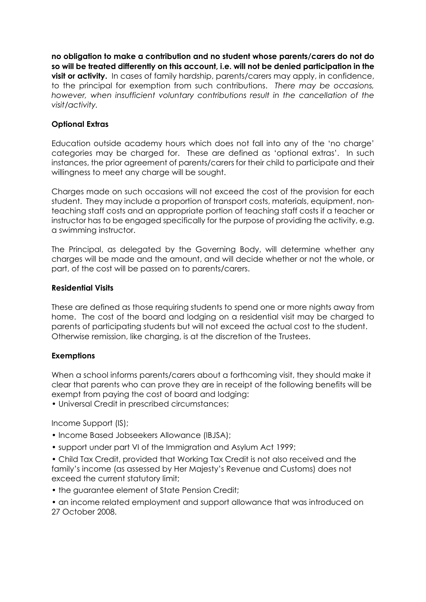**no obligation to make a contribution and no student whose parents/carers do not do so will be treated differently on this account, i.e. will not be denied participation in the visit or activity.** In cases of family hardship, parents/carers may apply, in confidence, to the principal for exemption from such contributions. *There may be occasions, however, when insufficient voluntary contributions result in the cancellation of the visit/activity.*

## **Optional Extras**

Education outside academy hours which does not fall into any of the 'no charge' categories may be charged for. These are defined as 'optional extras'. In such instances, the prior agreement of parents/carers for their child to participate and their willingness to meet any charge will be sought.

Charges made on such occasions will not exceed the cost of the provision for each student. They may include a proportion of transport costs, materials, equipment, nonteaching staff costs and an appropriate portion of teaching staff costs if a teacher or instructor has to be engaged specifically for the purpose of providing the activity, e.g. a swimming instructor.

The Principal, as delegated by the Governing Body, will determine whether any charges will be made and the amount, and will decide whether or not the whole, or part, of the cost will be passed on to parents/carers.

### **Residential Visits**

These are defined as those requiring students to spend one or more nights away from home. The cost of the board and lodging on a residential visit may be charged to parents of participating students but will not exceed the actual cost to the student. Otherwise remission, like charging, is at the discretion of the Trustees.

## **Exemptions**

When a school informs parents/carers about a forthcoming visit, they should make it clear that parents who can prove they are in receipt of the following benefits will be exempt from paying the cost of board and lodging:

• Universal Credit in prescribed circumstances;

Income Support (IS);

- Income Based Jobseekers Allowance (IBJSA);
- support under part VI of the Immigration and Asylum Act 1999;

• Child Tax Credit, provided that Working Tax Credit is not also received and the family's income (as assessed by Her Majesty's Revenue and Customs) does not exceed the current statutory limit;

- the guarantee element of State Pension Credit;
- an income related employment and support allowance that was introduced on 27 October 2008.